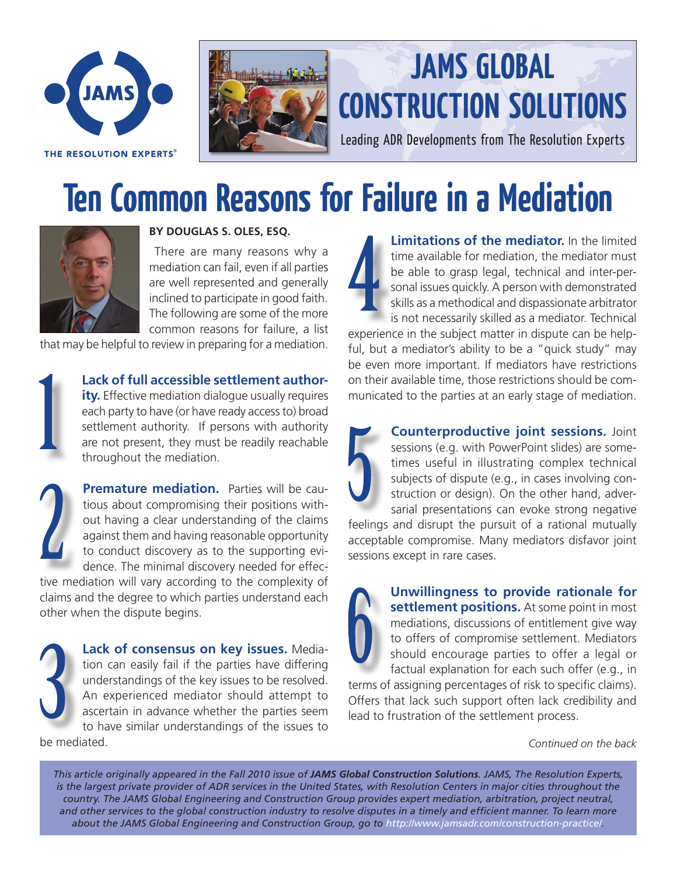

THE RESOLUTION EXPERTS®



## **JAMS GLOBAL CONSTRUCTION SOLUTIONS**

Leading ADR Developments from The Resolution Experts

## **Ten Common Reasons for Failure in a Mediation**



## **BY DOUGLAS S. OLES, ESQ.**

 There are many reasons why a mediation can fail, even if all parties are well represented and generally inclined to participate in good faith. The following are some of the more common reasons for failure, a list

that may be helpful to review in preparing for a mediation.



**Lack of full accessible settlement authority.** Effective mediation dialogue usually requires each party to have (or have ready access to) broad settlement authority. If persons with authority are not present, they must be readily reachable throughout the mediation.



**Premature mediation.** Parties will be cautious about compromising their positions without having a clear understanding of the claims against them and having reasonable opportunity to conduct discovery as to the supporting evidence. The minimal discovery needed for effec-

tive mediation will vary according to the complexity of claims and the degree to which parties understand each other when the dispute begins.



be mediated.

**Limitations of the mediator.** In the limited time available for mediation, the mediator must be able to grasp legal, technical and inter-personal issues quickly. A person with demonstrated skills as a methodical and dispassionate arbitrator is not necessarily skilled as a mediator. Technical

experience in the subject matter in dispute can be helpful, but a mediator's ability to be a "quick study" may be even more important. If mediators have restrictions on their available time, those restrictions should be communicated to the parties at an early stage of mediation.



**Counterproductive joint sessions.** Joint sessions (e.g. with PowerPoint slides) are sometimes useful in illustrating complex technical subjects of dispute (e.g., in cases involving construction or design). On the other hand, adversarial presentations can evoke strong negative

feelings and disrupt the pursuit of a rational mutually acceptable compromise. Many mediators disfavor joint sessions except in rare cases.



**Unwillingness to provide rationale for settlement positions.** At some point in most mediations, discussions of entitlement give way to offers of compromise settlement. Mediators should encourage parties to offer a legal or factual explanation for each such offer (e.g., in

terms of assigning percentages of risk to specific claims). Offers that lack such support often lack credibility and lead to frustration of the settlement process.

*Continued on the back*

*This article originally appeared in the Fall 2010 issue of JAMS Global Construction Solutions. JAMS, The Resolution Experts, is the largest private provider of ADR services in the United States, with Resolution Centers in major cities throughout the country. The JAMS Global Engineering and Construction Group provides expert mediation, arbitration, project neutral, and other services to the global construction industry to resolve disputes in a timely and efficient manner. To learn more about the JAMS Global Engineering and Construction Group, go to<http://www.jamsadr.com/construction-practice/>.*